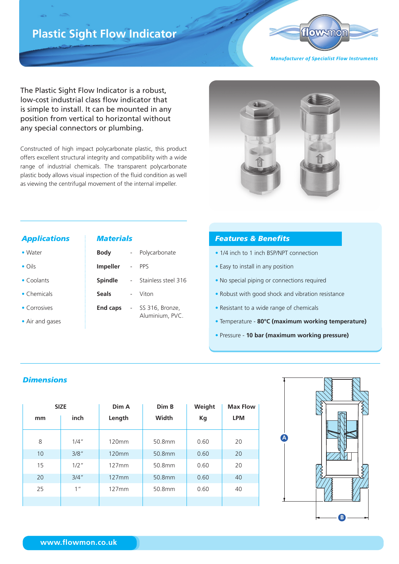# **Plastic Sight Flow Indicator**



*Manufacturer of Specialist Flow Instruments*

The Plastic Sight Flow Indicator is a robust, low-cost industrial class flow indicator that is simple to install. It can be mounted in any position from vertical to horizontal without any special connectors or plumbing.

Constructed of high impact polycarbonate plastic, this product offers excellent structural integrity and compatibility with a wide range of industrial chemicals. The transparent polycarbonate plastic body allows visual inspection of the fluid condition as well as viewing the centrifugal movement of the internal impeller.



#### *Applications*

- Oils
- Coolants
- Chemicals
- Corrosives
- Air and gases

#### *Materials*

| Body            | Polycarbonate                      |
|-----------------|------------------------------------|
| <b>Impeller</b> | PPS                                |
| <b>Spindle</b>  | Stainless steel 316                |
| <b>Seals</b>    | Viton                              |
| <b>End caps</b> | SS 316, Bronze,<br>Aluminium, PVC. |

## *Features & Benefits*

- 1/4 inch to 1 inch BSP/NPT connection
- Easy to install in any position
- No special piping or connections required
- Robust with good shock and vibration resistance
- Resistant to a wide range of chemicals
- Temperature **80°C (maximum working temperature)**
- Pressure **10 bar (maximum working pressure)**

### *Dimensions*

|    | <b>SIZE</b>     | Dim A  | Dim B  | Weight | <b>Max Flow</b> |
|----|-----------------|--------|--------|--------|-----------------|
| mm | inch            | Length | Width  | Kg     | <b>LPM</b>      |
| 8  | $1/4$ "         | 120mm  | 50.8mm | 0.60   | 20              |
| 10 | 3/8"            | 120mm  | 50.8mm | 0.60   | 20              |
| 15 | $1/2$ "         | 127mm  | 50.8mm | 0.60   | 20              |
| 20 | 3/4''           | 127mm  | 50.8mm | 0.60   | 40              |
| 25 | 1 <sup>''</sup> | 127mm  | 50.8mm | 0.60   | 40              |
|    |                 |        |        |        |                 |